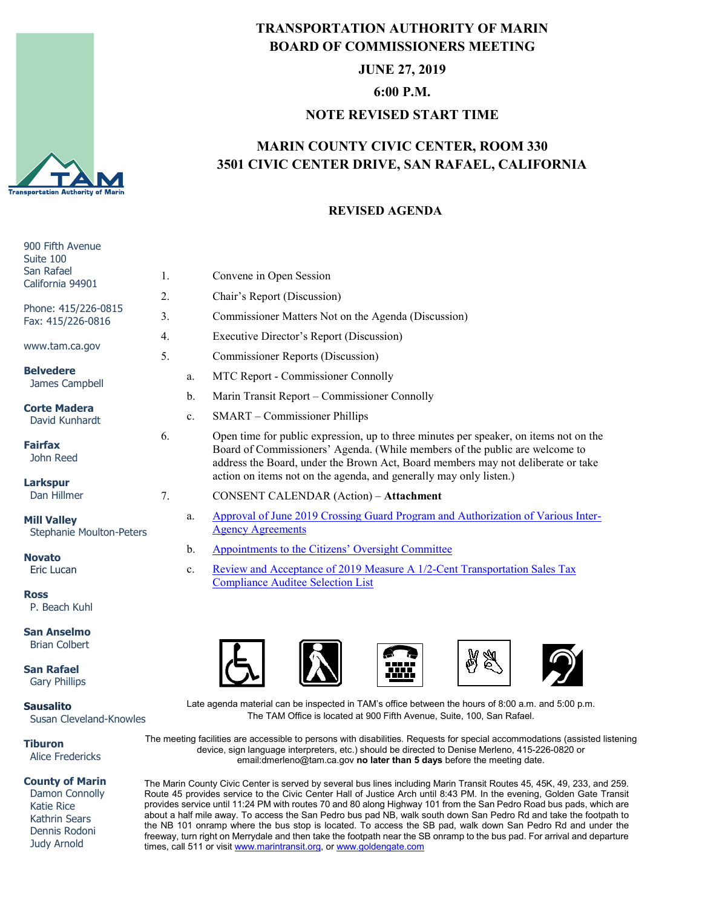

## **TRANSPORTATION AUTHORITY OF MARIN BOARD OF COMMISSIONERS MEETING**

**JUNE 27, 2019**

**6:00 P.M.**

#### **NOTE REVISED START TIME**

# **MARIN COUNTY CIVIC CENTER, ROOM 330 3501 CIVIC CENTER DRIVE, SAN RAFAEL, CALIFORNIA**

### **REVISED AGENDA**

| 900 Fifth Avenue<br>Suite 100                  |    |                |                                                                                                                                                                                                                                                          |
|------------------------------------------------|----|----------------|----------------------------------------------------------------------------------------------------------------------------------------------------------------------------------------------------------------------------------------------------------|
| San Rafael<br>California 94901                 | 1. |                | Convene in Open Session                                                                                                                                                                                                                                  |
|                                                | 2. |                | Chair's Report (Discussion)                                                                                                                                                                                                                              |
| Phone: 415/226-0815<br>Fax: 415/226-0816       | 3. |                | Commissioner Matters Not on the Agenda (Discussion)                                                                                                                                                                                                      |
| www.tam.ca.gov                                 | 4. |                | Executive Director's Report (Discussion)                                                                                                                                                                                                                 |
|                                                | 5. |                | Commissioner Reports (Discussion)                                                                                                                                                                                                                        |
| <b>Belvedere</b><br>James Campbell             |    | a.             | MTC Report - Commissioner Connolly                                                                                                                                                                                                                       |
|                                                |    | b.             | Marin Transit Report – Commissioner Connolly                                                                                                                                                                                                             |
| <b>Corte Madera</b><br>David Kunhardt          |    | $\mathbf{c}$ . | SMART - Commissioner Phillips                                                                                                                                                                                                                            |
| <b>Fairfax</b><br>John Reed                    | 6. |                | Open time for public expression, up to three minutes per speaker, on items not on the<br>Board of Commissioners' Agenda. (While members of the public are welcome to<br>address the Board, under the Brown Act, Board members may not deliberate or take |
| <b>Larkspur</b><br>Dan Hillmer                 |    |                | action on items not on the agenda, and generally may only listen.)                                                                                                                                                                                       |
|                                                | 7. |                | <b>CONSENT CALENDAR (Action) - Attachment</b>                                                                                                                                                                                                            |
| <b>Mill Valley</b><br>Stephanie Moulton-Peters |    | a.             | Approval of June 2019 Crossing Guard Program and Authorization of Various Inter-<br><b>Agency Agreements</b>                                                                                                                                             |
|                                                |    | $b$            | Appointments to the Citizens' Oversight Committee                                                                                                                                                                                                        |
| <b>Novato</b><br>Eric Lucan                    |    | c.             | Review and Acceptance of 2019 Measure A 1/2-Cent Transportation Sales Tax<br><b>Compliance Auditee Selection List</b>                                                                                                                                    |
| <b>Ross</b><br>P. Beach Kuhl                   |    |                |                                                                                                                                                                                                                                                          |
| <b>San Anselmo</b><br><b>Brian Colbert</b>     |    |                |                                                                                                                                                                                                                                                          |
| <b>San Rafael</b><br><b>Gary Phillips</b>      |    |                |                                                                                                                                                                                                                                                          |

**Sausalito**

Susan Cleveland-Knowles

**Tiburon** Alice Fredericks

#### **County of Marin**

 Damon Connolly Katie Rice Kathrin Sears Dennis Rodoni Judy Arnold

Late agenda material can be inspected in TAM's office between the hours of 8:00 a.m. and 5:00 p.m. The TAM Office is located at 900 Fifth Avenue, Suite, 100, San Rafael.

The meeting facilities are accessible to persons with disabilities. Requests for special accommodations (assisted listening device, sign language interpreters, etc.) should be directed to Denise Merleno, 415-226-0820 or email:dmerleno@tam.ca.gov **no later than 5 days** before the meeting date.

The Marin County Civic Center is served by several bus lines including Marin Transit Routes 45, 45K, 49, 233, and 259. Route 45 provides service to the Civic Center Hall of Justice Arch until 8:43 PM. In the evening, Golden Gate Transit provides service until 11:24 PM with routes 70 and 80 along Highway 101 from the San Pedro Road bus pads, which are about a half mile away. To access the San Pedro bus pad NB, walk south down San Pedro Rd and take the footpath to the NB 101 onramp where the bus stop is located. To access the SB pad, walk down San Pedro Rd and under the freeway, turn right on Merrydale and then take the footpath near the SB onramp to the bus pad. For arrival and departure times, call 511 or visit [www.marintransit.org,](file://tamfs2/tam/03.%20TAM%20BOARDS%20&%20COMMITTEES/03.01%20TAM%20Board/03.01.03%20Board%20Packets/www.marintransit.org) o[r www.goldengate.com](file://tamfs2/tam/03.%20TAM%20BOARDS%20&%20COMMITTEES/03.01%20TAM%20Board/03.01.03%20Board%20Packets/www.goldengate.com)